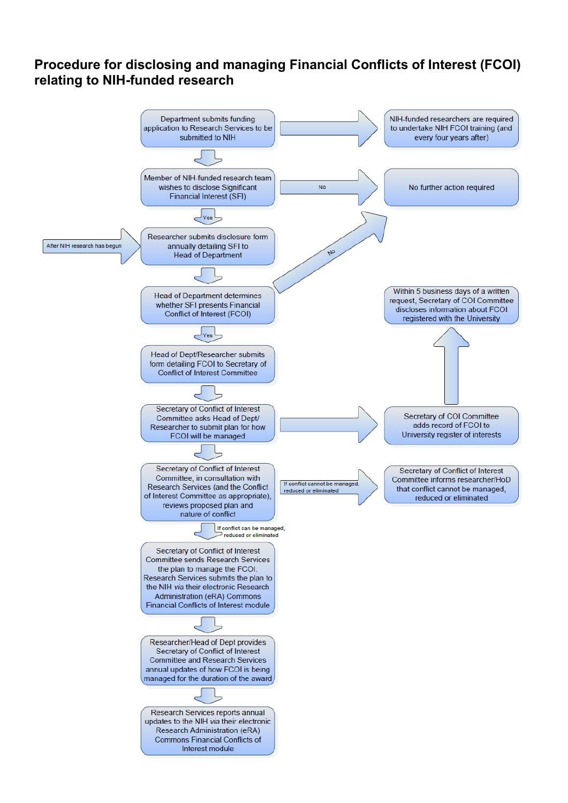## **Procedure for disclosing and managing Financial Conflicts of Interest (FCOI) relating to NIH-funded research**